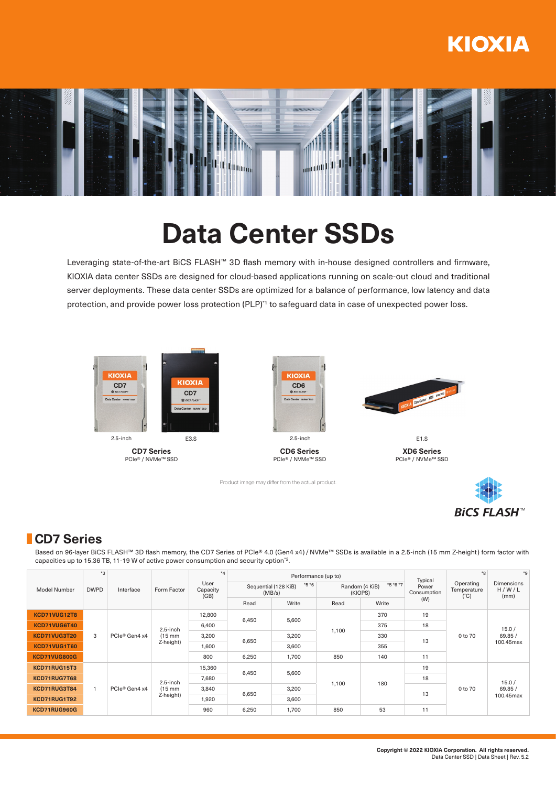## **KIOXIA**



# **Data Center SSDs**

Leveraging state-of-the-art BiCS FLASH™ 3D flash memory with in-house designed controllers and firmware, KIOXIA data center SSDs are designed for cloud-based applications running on scale-out cloud and traditional server deployments. These data center SSDs are optimized for a balance of performance, low latency and data protection, and provide power loss protection (PLP)<sup>\*1</sup> to safeguard data in case of unexpected power loss.



**CD7 Series** PCIe® / NVMe™ SSD



**CD6 Series** PCIe® / NVMe™ SSD

Product image may differ from the actual product.



**XD6 Series** PCIe® / NVMe™ SSD

**BiCS FLASH<sup>™</sup>** 

### **CD7 Series**

Based on 96-layer BiCS FLASH™ 3D flash memory, the CD7 Series of PCIe® 4.0 (Gen4 x4) / NVMe™ SSDs is available in a 2.5-inch (15 mm Z-height) form factor with capacities up to 15.36 TB, 11-19 W of active power consumption and security option\*2.

| Model Number | $*3$<br><b>DWPD</b> | Interface     | Form Factor       | $\star_{\Delta}$<br>User<br>Capacity<br>(GB) |                                           | Performance (up to) |       | Typical                                 | $*8$                 | $*9$<br><b>Dimensions</b><br>H/W/L<br>(mm) |                                           |    |    |  |
|--------------|---------------------|---------------|-------------------|----------------------------------------------|-------------------------------------------|---------------------|-------|-----------------------------------------|----------------------|--------------------------------------------|-------------------------------------------|----|----|--|
|              |                     |               |                   |                                              | $*5 *6$<br>Sequential (128 KiB)<br>(MB/s) |                     |       | $*5 *6 *7$<br>Random (4 KiB)<br>(KIOPS) | Power<br>Consumption |                                            | Operating<br>Temperature<br>$(^{\circ}C)$ |    |    |  |
|              |                     |               |                   |                                              | Read                                      | Write               | Read  | Write                                   | (W)                  |                                            |                                           |    |    |  |
| KCD71VUG12T8 |                     | PCIe® Gen4 x4 |                   | 12,800                                       | 6,450<br>6,650                            | 5,600               |       | 370                                     | 19                   |                                            |                                           |    |    |  |
| KCD71VUG6T40 |                     |               | $2.5$ -inch       | 6,400                                        |                                           |                     | 1,100 | 375                                     | 18                   | 0 to 70                                    | 15.0/<br>69.85/                           |    |    |  |
| KCD71VUG3T20 | 3                   |               | $(15 \text{ mm})$ | 3,200                                        |                                           | 3,200               |       | 330                                     | 13                   |                                            |                                           |    |    |  |
| KCD71VUG1T60 |                     |               | Z-height)         | 1,600                                        | 3,600                                     |                     | 355   |                                         |                      | 100.45max                                  |                                           |    |    |  |
| KCD71VUG800G |                     |               |                   | 800                                          | 6,250                                     | 1,700               | 850   | 140                                     | 11                   |                                            |                                           |    |    |  |
| KCD71RUG15T3 |                     | PCIe® Gen4 x4 |                   | 15,360                                       |                                           | 5,600<br>6,450      |       |                                         | 19                   |                                            | 15.0/<br>69.85/<br>100.45max              |    |    |  |
| KCD71RUG7T68 |                     |               | $2.5$ -inch       | 7,680                                        |                                           |                     | 1,100 | 180                                     | 18                   |                                            |                                           |    |    |  |
| KCD71RUG3T84 | $\mathbf{1}$        |               | $(15 \text{ mm})$ | 3,840                                        | 6,650                                     | 3,200               |       |                                         | 13                   | 0 to 70                                    |                                           |    |    |  |
| KCD71RUG1T92 |                     |               | Z-height)         | 1,920                                        |                                           | 3,600               |       |                                         |                      |                                            |                                           |    |    |  |
| KCD71RUG960G |                     |               |                   |                                              |                                           |                     |       | 960                                     | 6,250                | 1,700                                      | 850                                       | 53 | 11 |  |